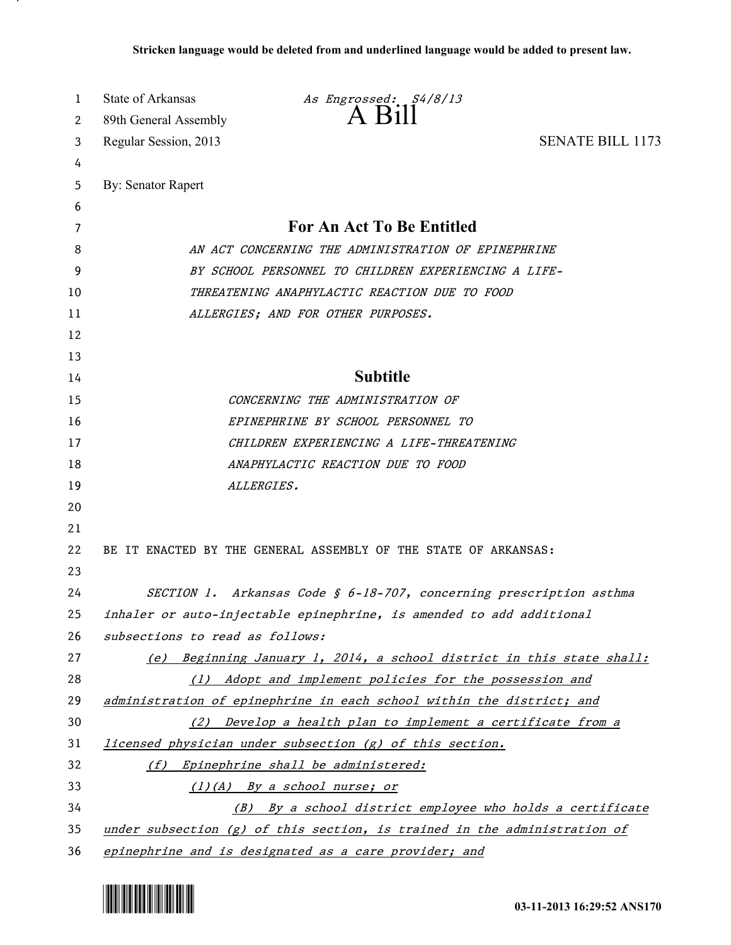| 1  | State of Arkansas<br>As Engrossed: S4/8/13                                  |  |
|----|-----------------------------------------------------------------------------|--|
| 2  | 89th General Assembly                                                       |  |
| 3  | <b>SENATE BILL 1173</b><br>Regular Session, 2013                            |  |
| 4  |                                                                             |  |
| 5  | By: Senator Rapert                                                          |  |
| 6  |                                                                             |  |
| 7  | <b>For An Act To Be Entitled</b>                                            |  |
| 8  | AN ACT CONCERNING THE ADMINISTRATION OF EPINEPHRINE                         |  |
| 9  | BY SCHOOL PERSONNEL TO CHILDREN EXPERIENCING A LIFE-                        |  |
| 10 | THREATENING ANAPHYLACTIC REACTION DUE TO FOOD                               |  |
| 11 | ALLERGIES; AND FOR OTHER PURPOSES.                                          |  |
| 12 |                                                                             |  |
| 13 |                                                                             |  |
| 14 | <b>Subtitle</b>                                                             |  |
| 15 | CONCERNING THE ADMINISTRATION OF                                            |  |
| 16 | EPINEPHRINE BY SCHOOL PERSONNEL TO                                          |  |
| 17 | CHILDREN EXPERIENCING A LIFE-THREATENING                                    |  |
| 18 | ANAPHYLACTIC REACTION DUE TO FOOD                                           |  |
| 19 | ALLERGIES.                                                                  |  |
| 20 |                                                                             |  |
| 21 |                                                                             |  |
| 22 | BE IT ENACTED BY THE GENERAL ASSEMBLY OF THE STATE OF ARKANSAS:             |  |
| 23 |                                                                             |  |
| 24 | SECTION 1. Arkansas Code § 6-18-707, concerning prescription asthma         |  |
| 25 | inhaler or auto-injectable epinephrine, is amended to add additional        |  |
| 26 | subsections to read as follows:                                             |  |
| 27 | (e) Beginning January 1, 2014, a school district in this state shall:       |  |
| 28 | (1) Adopt and implement policies for the possession and                     |  |
| 29 | administration of epinephrine in each school within the district; and       |  |
| 30 | (2) Develop a health plan to implement a certificate from a                 |  |
| 31 | licensed physician under subsection (g) of this section.                    |  |
| 32 | (f) Epinephrine shall be administered:                                      |  |
| 33 | $(1)(A)$ By a school nurse; or                                              |  |
| 34 | (B) By a school district employee who holds a certificate                   |  |
| 35 | under subsection $(g)$ of this section, is trained in the administration of |  |
| 36 | epinephrine and is designated as a care provider; and                       |  |



.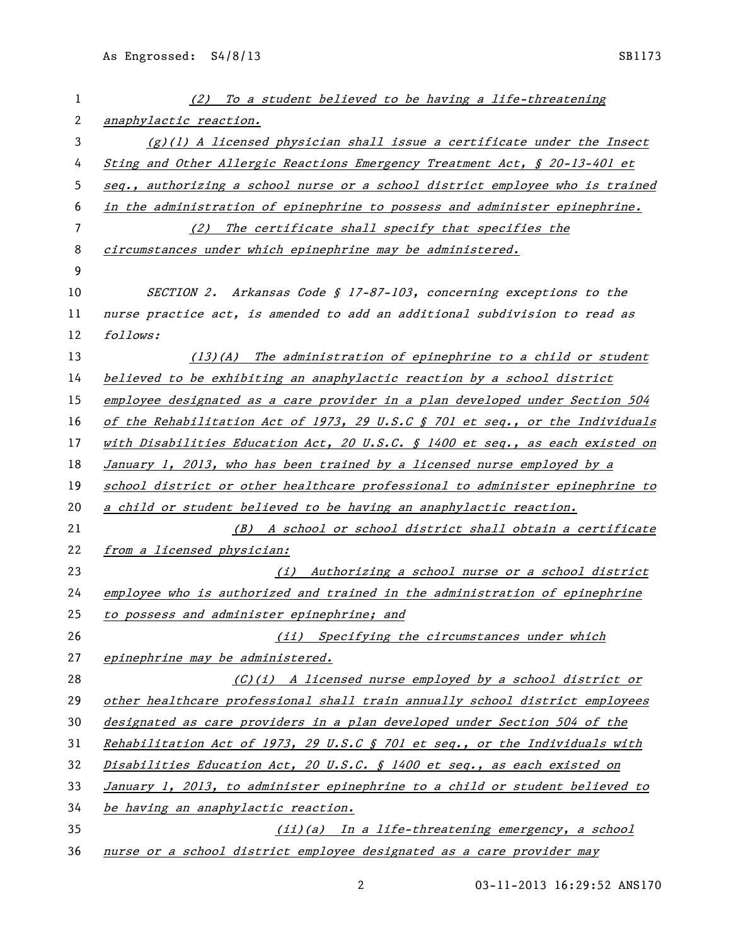| 1  | (2) To a student believed to be having a life-threatening                     |
|----|-------------------------------------------------------------------------------|
| 2  | anaphylactic reaction.                                                        |
| 3  | $(g)(1)$ A licensed physician shall issue a certificate under the Insect      |
| 4  | Sting and Other Allergic Reactions Emergency Treatment Act, § 20-13-401 et    |
| 5  | seq., authorizing a school nurse or a school district employee who is trained |
| 6  | in the administration of epinephrine to possess and administer epinephrine.   |
| 7  | (2) The certificate shall specify that specifies the                          |
| 8  | circumstances under which epinephrine may be administered.                    |
| 9  |                                                                               |
| 10 | SECTION 2. Arkansas Code § 17-87-103, concerning exceptions to the            |
| 11 | nurse practice act, is amended to add an additional subdivision to read as    |
| 12 | follows:                                                                      |
| 13 | (13)(A) The administration of epinephrine to a child or student               |
| 14 | believed to be exhibiting an anaphylactic reaction by a school district       |
| 15 | employee designated as a care provider in a plan developed under Section 504  |
| 16 | of the Rehabilitation Act of 1973, 29 U.S.C § 701 et seq., or the Individuals |
| 17 | with Disabilities Education Act, 20 U.S.C. § 1400 et seq., as each existed on |
| 18 | January 1, 2013, who has been trained by a licensed nurse employed by a       |
| 19 | school district or other healthcare professional to administer epinephrine to |
| 20 | a child or student believed to be having an anaphylactic reaction.            |
| 21 | (B) A school or school district shall obtain a certificate                    |
| 22 | from a licensed physician:                                                    |
| 23 | (i) Authorizing a school nurse or a school district                           |
| 24 | employee who is authorized and trained in the administration of epinephrine   |
| 25 | to possess and administer epinephrine; and                                    |
| 26 | (ii) Specifying the circumstances under which                                 |
| 27 | epinephrine may be administered.                                              |
| 28 | $(C)(i)$ A licensed nurse employed by a school district or                    |
| 29 | other healthcare professional shall train annually school district employees  |
| 30 | designated as care providers in a plan developed under Section 504 of the     |
| 31 | Rehabilitation Act of 1973, 29 U.S.C § 701 et seq., or the Individuals with   |
| 32 | Disabilities Education Act, 20 U.S.C. § 1400 et seq., as each existed on      |
| 33 | January 1, 2013, to administer epinephrine to a child or student believed to  |
| 34 | be having an anaphylactic reaction.                                           |
| 35 | (ii)(a) In a life-threatening emergency, a school                             |
| 36 | nurse or a school district employee designated as a care provider may         |

03-11-2013 16:29:52 ANS170